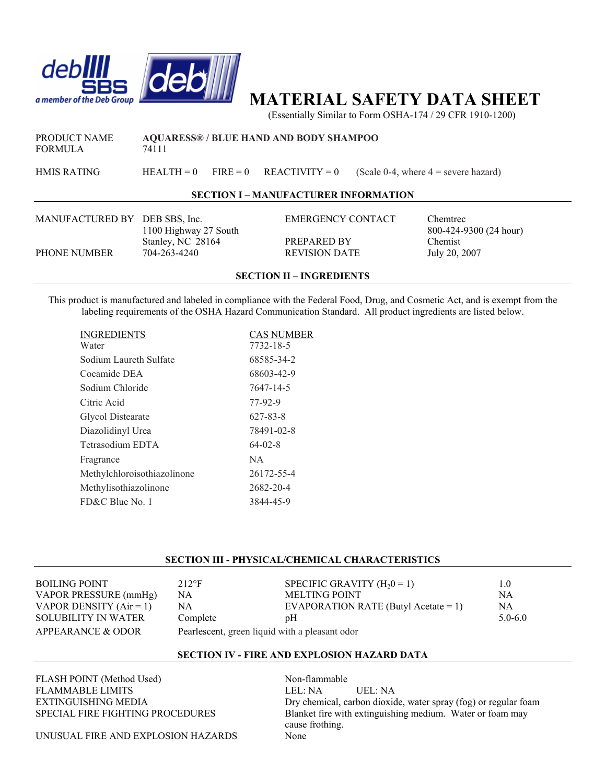

# **MATERIAL SAFETY DATA SHEET**

(Essentially Similar to Form OSHA-174 / 29 CFR 1910-1200)

FORMULA 74111

PRODUCT NAME **AQUARESS® / BLUE HAND AND BODY SHAMPOO**

HMIS RATING HEALTH = 0 FIRE = 0 REACTIVITY = 0 (Scale 0-4, where  $4$  = severe hazard)

### **SECTION I – MANUFACTURER INFORMATION**

MANUFACTURED BY DEB SBS, Inc. EMERGENCY CONTACT Chemtrec PHONE NUMBER 704-263-4240 REVISION DATE July 20, 2007

Stanley, NC 28164 PREPARED BY Chemist

1100 Highway 27 South 800-424-9300 (24 hour)

#### **SECTION II – INGREDIENTS**

This product is manufactured and labeled in compliance with the Federal Food, Drug, and Cosmetic Act, and is exempt from the labeling requirements of the OSHA Hazard Communication Standard. All product ingredients are listed below.

| INGREDIENTS                 | CAS NUMBER    |
|-----------------------------|---------------|
| Water                       | 7732-18-5     |
| Sodium Laureth Sulfate      | 68585-34-2    |
| Cocamide DEA                | 68603-42-9    |
| Sodium Chloride             | 7647-14-5     |
| Citric Acid                 | 77-92-9       |
| Glycol Distearate           | 627-83-8      |
| Diazolidinyl Urea           | 78491-02-8    |
| Tetrasodium EDTA            | $64 - 02 - 8$ |
| Fragrance                   | NA.           |
| Methylchloroisothiazolinone | 26172-55-4    |
| Methylisothiazolinone       | 2682-20-4     |
| FD&C Blue No. 1             | 3844-45-9     |

## **SECTION III - PHYSICAL/CHEMICAL CHARACTERISTICS**

| BOILING POINT-            | $212$ °F                                       | SPECIFIC GRAVITY $(H20 = 1)$         | 1.0         |
|---------------------------|------------------------------------------------|--------------------------------------|-------------|
| VAPOR PRESSURE (mmHg)     | NA                                             | MELTING POINT                        | NA          |
| VAPOR DENSITY $(Air = 1)$ | NA                                             | EVAPORATION RATE (Butyl Acetate = 1) | NΑ          |
| SOLUBILITY IN WATER       | Complete                                       | pΗ                                   | $5.0 - 6.0$ |
| APPEARANCE & ODOR         | Pearlescent, green liquid with a pleasant odor |                                      |             |

#### **SECTION IV - FIRE AND EXPLOSION HAZARD DATA**

FLASH POINT (Method Used) Non-flammable FLAMMABLE LIMITS LEL: NA UEL: NA

EXTINGUISHING MEDIA Dry chemical, carbon dioxide, water spray (fog) or regular foam SPECIAL FIRE FIGHTING PROCEDURES Blanket fire with extinguishing medium. Water or foam may cause frothing.

UNUSUAL FIRE AND EXPLOSION HAZARDS None